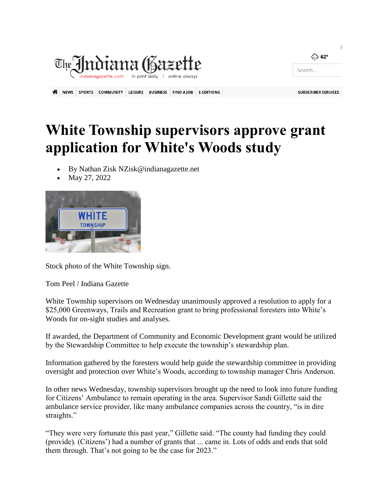|                                                                           |             |               |                  |                |                 |                   |                   |        | ි 62°                      |
|---------------------------------------------------------------------------|-------------|---------------|------------------|----------------|-----------------|-------------------|-------------------|--------|----------------------------|
| The Jndiana (Bazette<br>indianagazette.com in print daily I online always |             |               |                  |                |                 |                   |                   | Search |                            |
|                                                                           |             |               |                  |                |                 |                   |                   |        |                            |
| ≪                                                                         | <b>NEWS</b> | <b>SPORTS</b> | <b>COMMUNITY</b> | <b>LEISURE</b> | <b>BUSINESS</b> | <b>FIND A JOB</b> | <b>E-EDITIONS</b> |        | <b>SUBSCRIBER SERVICES</b> |

## **White Township supervisors approve grant application for White's Woods study**

- By Nathan Zisk NZisk@indianagazette.net
- May 27, 2022



Stock photo of the White Township sign.

Tom Peel / Indiana Gazette

White Township supervisors on Wednesday unanimously approved a resolution to apply for a \$25,000 Greenways, Trails and Recreation grant to bring professional foresters into White's Woods for on-sight studies and analyses.

If awarded, the Department of Community and Economic Development grant would be utilized by the Stewardship Committee to help execute the township's stewardship plan.

Information gathered by the foresters would help guide the stewardship committee in providing oversight and protection over White's Woods, according to township manager Chris Anderson.

In other news Wednesday, township supervisors brought up the need to look into future funding for Citizens' Ambulance to remain operating in the area. Supervisor Sandi Gillette said the ambulance service provider, like many ambulance companies across the country, "is in dire straights."

"They were very fortunate this past year," Gillette said. "The county had funding they could (provide). (Citizens') had a number of grants that ... came in. Lots of odds and ends that sold them through. That's not going to be the case for 2023."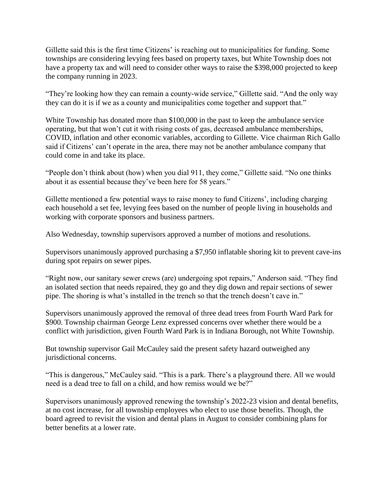Gillette said this is the first time Citizens' is reaching out to municipalities for funding. Some townships are considering levying fees based on property taxes, but White Township does not have a property tax and will need to consider other ways to raise the \$398,000 projected to keep the company running in 2023.

"They're looking how they can remain a county-wide service," Gillette said. "And the only way they can do it is if we as a county and municipalities come together and support that."

White Township has donated more than \$100,000 in the past to keep the ambulance service operating, but that won't cut it with rising costs of gas, decreased ambulance memberships, COVID, inflation and other economic variables, according to Gillette. Vice chairman Rich Gallo said if Citizens' can't operate in the area, there may not be another ambulance company that could come in and take its place.

"People don't think about (how) when you dial 911, they come," Gillette said. "No one thinks about it as essential because they've been here for 58 years."

Gillette mentioned a few potential ways to raise money to fund Citizens', including charging each household a set fee, levying fees based on the number of people living in households and working with corporate sponsors and business partners.

Also Wednesday, township supervisors approved a number of motions and resolutions.

Supervisors unanimously approved purchasing a \$7,950 inflatable shoring kit to prevent cave-ins during spot repairs on sewer pipes.

"Right now, our sanitary sewer crews (are) undergoing spot repairs," Anderson said. "They find an isolated section that needs repaired, they go and they dig down and repair sections of sewer pipe. The shoring is what's installed in the trench so that the trench doesn't cave in."

Supervisors unanimously approved the removal of three dead trees from Fourth Ward Park for \$900. Township chairman George Lenz expressed concerns over whether there would be a conflict with jurisdiction, given Fourth Ward Park is in Indiana Borough, not White Township.

But township supervisor Gail McCauley said the present safety hazard outweighed any jurisdictional concerns.

"This is dangerous," McCauley said. "This is a park. There's a playground there. All we would need is a dead tree to fall on a child, and how remiss would we be?"

Supervisors unanimously approved renewing the township's 2022-23 vision and dental benefits, at no cost increase, for all township employees who elect to use those benefits. Though, the board agreed to revisit the vision and dental plans in August to consider combining plans for better benefits at a lower rate.